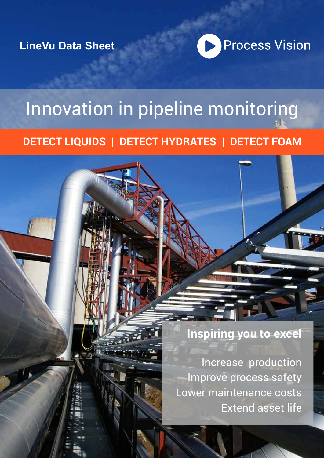**LineVu Data Sheet**



# Innovation in pipeline monitoring

## **DETECT LIQUIDS | DETECT HYDRATES | DETECT FOAM**

**Inspiring you to excel**

Increase production Improve process safety Lower maintenance costs Extend asset life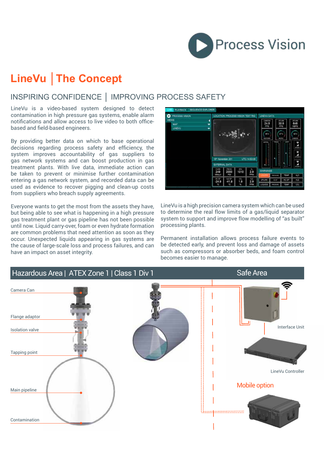

## **LineVu │The Concept**

## INSPIRING CONFIDENCE │ IMPROVING PROCESS SAFETY

LineVu is a video-based system designed to detect contamination in high pressure gas systems, enable alarm notifications and allow access to live video to both officebased and field-based engineers.

By providing better data on which to base operational decisions regarding process safety and efficiency, the system improves accountability of gas suppliers to gas network systems and can boost production in gas treatment plants. With live data, immediate action can be taken to prevent or minimise further contamination entering a gas network system, and recorded data can be used as evidence to recover pigging and clean-up costs from suppliers who breach supply agreements.

Everyone wants to get the most from the assets they have, but being able to see what is happening in a high pressure gas treatment plant or gas pipeline has not been possible until now. Liquid carry-over, foam or even hydrate formation are common problems that need attention as soon as they occur. Unexpected liquids appearing in gas systems are the cause of large-scale loss and process failures, and can have an impact on asset integrity.



LineVu is a high precision camera system which can be used to determine the real flow limits of a gas/liquid separator system to support and improve flow modelling of "as built" processing plants.

Permanent installation allows process failure events to be detected early, and prevent loss and damage of assets such as compressors or absorber beds, and foam control becomes easier to manage.

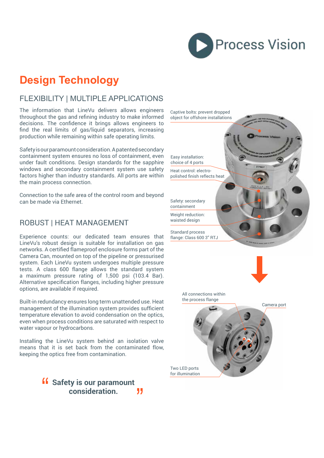

## **Design Technology**

## FLEXIBILITY | MULTIPLE APPLICATIONS

The information that LineVu delivers allows engineers throughout the gas and refining industry to make informed decisions. The confidence it brings allows engineers to find the real limits of gas/liquid separators, increasing production while remaining within safe operating limits.

Safety is our paramount consideration. A patented secondary containment system ensures no loss of containment, even under fault conditions. Design standards for the sapphire windows and secondary containment system use safety factors higher than industry standards. All ports are within the main process connection.

Connection to the safe area of the control room and beyond can be made via Ethernet.

#### ROBUST | HEAT MANAGEMENT

Experience counts: our dedicated team ensures that LineVu's robust design is suitable for installation on gas networks. A certified flameproof enclosure forms part of the Camera Can, mounted on top of the pipeline or pressurised system. Each LineVu system undergoes multiple pressure tests. A class 600 flange allows the standard system a maximum pressure rating of 1,500 psi (103.4 Bar). Alternative specification flanges, including higher pressure options, are available if required.

Built-in redundancy ensures long term unattended use. Heat management of the illumination system provides sufficient temperature elevation to avoid condensation on the optics, even when process conditions are saturated with respect to water vapour or hydrocarbons.

Installing the LineVu system behind an isolation valve means that it is set back from the contaminated flow, keeping the optics free from contamination.

> **Safety is our paramount consideration. consideration.** 11

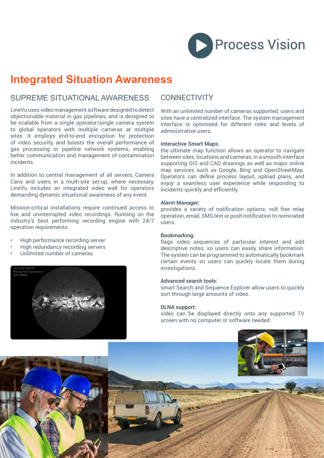

## **Integrated Situation Awareness**

#### SUPREME SITUATIONAL AWARENESS CONNECTIVITY

LineVu uses video management software designed to detect objectionable material in gas pipelines, and is designed to be scalable from a single operator/single camera system to global operators with multiple cameras at multiple sites. It employs end-to-end encryption for protection of video security, and boosts the overall performance of gas processing or pipeline network systems, enabling better communication and management of contamination incidents.

In addition to central management of all servers, Camera Cans and users in a multi-site set-up, where necessary, LineVu includes an integrated video wall for operators demanding dynamic situational awareness of any event.

Mission-critical installations require continued access to live and uninterrupted video recordings. Running on the industry's best performing recording engine with 24/7 operation requirements.

- High performance recording server
- High redundancy recording servers
- Unlimited number of cameras



With an unlimited number of cameras supported, users and sites have a centralized interface. The system management interface is optimised for different roles and levels of administrative users.

#### **Interactive Smart Maps:**

the ultimate map function allows an operator to navigate between sites, locations and cameras, in a smooth interface supporting GIS and CAD drawings as well as major online map services such as Google, Bing and OpenStreetMap. Operators can define process layout, upload plans, and enjoy a seamless user experience while responding to incidents quickly and efficiently.

#### **Alarm Manager:**

provides a variety of notification options: volt free relay operation, email, SMS text or push notification to nominated users.

#### **Bookmarking:**

flags video sequences of particular interest and add descriptive notes, so users can easily share information. The system can be programmed to automatically bookmark certain events so users can quickly locate them during investigations.

#### **Advanced search tools:**

smart Search and Sequence Explorer allow users to quickly sort through large amounts of video.

#### **DLNA support:**

video can be displayed directly onto any supported TV screen with no computer or software needed.

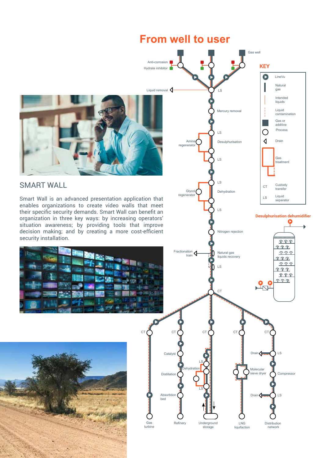## **From well to user**

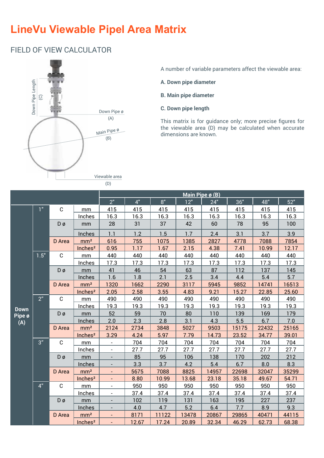## **LineVu Viewable Pipel Area Matrix**

## FIELD OF VIEW CALCULATOR



A number of variable parameters affect the viewable area:

- **A. Down pipe diameter**
- **B. Main pipe diameter**
- **C. Down pipe length**

This matrix is for guidance only; more precise figures for the viewable area (D) may be calculated when accurate dimensions are known.

|                       |                |             |                     |                          |       |       | Main Pipe $\phi$ (B) |       |       |       |       |
|-----------------------|----------------|-------------|---------------------|--------------------------|-------|-------|----------------------|-------|-------|-------|-------|
|                       |                |             |                     | 2"                       | 4"    | 8"    | 12"                  | 24"   | 36"   | 48"   | 52"   |
|                       | 1"             | $\mathbf C$ | mm                  | 415                      | 415   | 415   | 415                  | 415   | 415   | 415   | 415   |
|                       |                |             | Inches              | 16.3                     | 16.3  | 16.3  | 16.3                 | 16.3  | 16.3  | 16.3  | 16.3  |
|                       |                | Dø          | mm                  | 28                       | 31    | 37    | 42                   | 60    | 78    | 95    | 100   |
|                       |                |             | Inches              | 1.1                      | 1.2   | 1.5   | 1.7                  | 2.4   | 3.1   | 3.7   | 3.9   |
|                       |                | D Area      | mm <sup>2</sup>     | 616                      | 755   | 1075  | 1385                 | 2827  | 4778  | 7088  | 7854  |
|                       |                |             | Inches <sup>2</sup> | 0.95                     | 1.17  | 1.67  | 2.15                 | 4.38  | 7.41  | 10.99 | 12.17 |
|                       | 1.5"           | $\mathbf C$ | mm                  | 440                      | 440   | 440   | 440                  | 440   | 440   | 440   | 440   |
|                       |                |             | Inches              | 17.3<br>17.3<br>17.3     |       |       | 17.3                 | 17.3  | 17.3  | 17.3  | 17.3  |
|                       |                | Dø          | mm                  | 41                       | 46    | 54    | 63                   | 87    | 112   | 137   | 145   |
|                       |                |             | Inches              | 1.6                      | 1.8   | 2.1   | 2.5                  | 3.4   | 4.4   | 5.4   | 5.7   |
|                       |                | D Area      | mm <sup>2</sup>     | 1320                     | 1662  | 2290  | 3117                 | 5945  | 9852  | 14741 | 16513 |
|                       |                |             | Inches <sup>2</sup> | 2.05                     | 2.58  | 3.55  | 4.83                 | 9.21  | 15.27 | 22.85 | 25.60 |
|                       | 2 <sup>n</sup> | $\mathbf C$ | mm                  | 490                      | 490   | 490   | 490                  | 490   | 490   | 490   | 490   |
|                       |                |             | Inches              | 19.3                     | 19.3  | 19.3  | 19.3                 | 19.3  | 19.3  | 19.3  | 19.3  |
| <b>Down</b><br>Pipe ø |                | Dø          | mm                  | 52                       | 59    | 70    | 80                   | 110   | 139   | 169   | 179   |
| (A)                   |                |             | Inches              | 2.0                      | 2.3   | 2.8   | 3.1                  | 4.3   | 5.5   | 6.7   | 7.0   |
|                       |                | D Area      | mm <sup>2</sup>     | 2124                     | 2734  | 3848  | 5027                 | 9503  | 15175 | 22432 | 25165 |
|                       |                |             | Inches <sup>2</sup> | 3.29                     | 4.24  | 5.97  | 7.79                 | 14.73 | 23.52 | 34.77 | 39.01 |
|                       | 3 <sup>n</sup> | $\mathbf C$ | mm                  | $\overline{\phantom{0}}$ | 704   | 704   | 704                  | 704   | 704   | 704   | 704   |
|                       |                |             | Inches              | $\overline{\phantom{a}}$ | 27.7  | 27.7  | 27.7                 | 27.7  | 27.7  | 27.7  | 27.7  |
|                       |                | Dø          | mm                  |                          | 85    | 95    | 106                  | 138   | 170   | 202   | 212   |
|                       |                |             | Inches              |                          | 3.3   | 3.7   | 4.2                  | 5.4   | 6.7   | 8.0   | 8.3   |
|                       |                | D Area      | mm <sup>2</sup>     | $\blacksquare$           | 5675  | 7088  | 8825                 | 14957 | 22698 | 32047 | 35299 |
|                       |                |             | Inches <sup>2</sup> | ÷,                       | 8.80  | 10.99 | 13.68                | 23.18 | 35.18 | 49.67 | 54.71 |
|                       | 4 <sup>n</sup> | $\mathbf C$ | mm                  | $\overline{\phantom{0}}$ | 950   | 950   | 950                  | 950   | 950   | 950   | 950   |
|                       |                |             | Inches              | $\overline{a}$           | 37.4  | 37.4  | 37.4                 | 37.4  | 37.4  | 37.4  | 37.4  |
|                       |                | Dø          | mm                  | $\overline{\phantom{a}}$ | 102   | 119   | 131                  | 163   | 195   | 227   | 237   |
|                       |                |             | Inches              |                          | 4.0   | 4.7   | 5.2                  | 6.4   | 7.7   | 8.9   | 9.3   |
|                       |                | D Area      | mm <sup>2</sup>     |                          | 8171  | 11122 | 13478                | 20867 | 29865 | 40471 | 44115 |
|                       |                |             | Inches <sup>2</sup> | ÷,                       | 12.67 | 17.24 | 20.89                | 32.34 | 46.29 | 62.73 | 68.38 |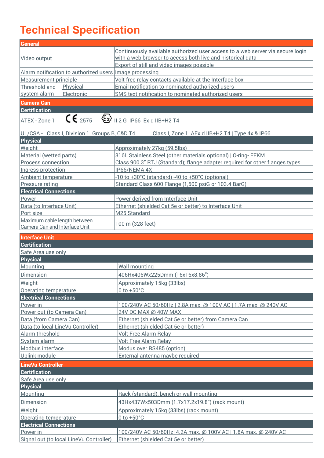## **Technical Specification**

| <b>General</b>                                          |                                                                                         |  |  |  |  |  |  |  |  |  |
|---------------------------------------------------------|-----------------------------------------------------------------------------------------|--|--|--|--|--|--|--|--|--|
|                                                         | Continuously available authorized user access to a web server via secure login          |  |  |  |  |  |  |  |  |  |
| Video output                                            | with a web browser to access both live and historical data                              |  |  |  |  |  |  |  |  |  |
|                                                         | Export of still and video images possible                                               |  |  |  |  |  |  |  |  |  |
| Alarm notification to authorized users Image processing |                                                                                         |  |  |  |  |  |  |  |  |  |
| Measurement principle                                   | Volt free relay contacts available at the Interface box                                 |  |  |  |  |  |  |  |  |  |
| Physical<br>Threshold and                               | Email notification to nominated authorized users                                        |  |  |  |  |  |  |  |  |  |
| system alarm<br>Electronic                              | SMS text notification to nominated authorized users                                     |  |  |  |  |  |  |  |  |  |
| <b>Camera Can</b>                                       |                                                                                         |  |  |  |  |  |  |  |  |  |
| <b>Certification</b>                                    |                                                                                         |  |  |  |  |  |  |  |  |  |
| ATEX - Zone 1                                           | $C \epsilon_{2575}$ $\&$ $\rightarrow$ 112 G IP66 Ex d IIB+H2 T4                        |  |  |  |  |  |  |  |  |  |
|                                                         |                                                                                         |  |  |  |  |  |  |  |  |  |
| UL/CSA - Class I, Division 1 Groups B, C&D T4           | Class I, Zone 1 AEx d IIB+H2 T4   Type 4x & IP66                                        |  |  |  |  |  |  |  |  |  |
| <b>Physical</b>                                         |                                                                                         |  |  |  |  |  |  |  |  |  |
| Weight                                                  | Approximately 27kg (59.5lbs)                                                            |  |  |  |  |  |  |  |  |  |
| Material (wetted parts)                                 | 316L Stainless Steel (other materials optional)   O-ring-FFKM                           |  |  |  |  |  |  |  |  |  |
| Process connection                                      | Class 900 3" RTJ (Standard); flange adapter required for other flanges types            |  |  |  |  |  |  |  |  |  |
| Ingress protection                                      | IP66/NEMA 4X                                                                            |  |  |  |  |  |  |  |  |  |
| Ambient temperature                                     | -10 to +30°C (standard) -40 to +50°C (optional)                                         |  |  |  |  |  |  |  |  |  |
| Pressure rating                                         | Standard Class 600 Flange (1,500 psiG or 103.4 BarG)                                    |  |  |  |  |  |  |  |  |  |
| <b>Electrical Connections</b>                           |                                                                                         |  |  |  |  |  |  |  |  |  |
| Power                                                   | Power derived from Interface Unit                                                       |  |  |  |  |  |  |  |  |  |
| Data (to Interface Unit)                                | Ethernet (shielded Cat 5e or better) to Interface Unit                                  |  |  |  |  |  |  |  |  |  |
| Port size                                               | M25 Standard                                                                            |  |  |  |  |  |  |  |  |  |
| Maximum cable length between                            |                                                                                         |  |  |  |  |  |  |  |  |  |
| Camera Can and Interface Unit                           | 100 m (328 feet)                                                                        |  |  |  |  |  |  |  |  |  |
| <b>Interface Unit</b>                                   |                                                                                         |  |  |  |  |  |  |  |  |  |
| <b>Certification</b>                                    |                                                                                         |  |  |  |  |  |  |  |  |  |
| Safe Area use only                                      |                                                                                         |  |  |  |  |  |  |  |  |  |
| <b>Physical</b>                                         |                                                                                         |  |  |  |  |  |  |  |  |  |
| Mounting                                                | <b>Wall mounting</b>                                                                    |  |  |  |  |  |  |  |  |  |
| <b>Dimension</b>                                        | 406Hx406Wx225Dmm (16x16x8.86")                                                          |  |  |  |  |  |  |  |  |  |
|                                                         |                                                                                         |  |  |  |  |  |  |  |  |  |
| Weight                                                  | Approximately 15kg (33lbs)                                                              |  |  |  |  |  |  |  |  |  |
| <b>Operating temperature</b>                            | $0$ to $+50^{\circ}$ C                                                                  |  |  |  |  |  |  |  |  |  |
| <b>Electrical Connections</b>                           |                                                                                         |  |  |  |  |  |  |  |  |  |
| Power in<br>Power out (to Camera Can)                   | 100/240V AC 50/60Hz   2.8A max. @ 100V AC   1.7A max. @ 240V AC<br>24V DC MAX @ 40W MAX |  |  |  |  |  |  |  |  |  |
| Data (from Camera Can)                                  | Ethernet (shielded Cat 5e or better) from Camera Can                                    |  |  |  |  |  |  |  |  |  |
| Data (to local LineVu Controller)                       | Ethernet (shielded Cat 5e or better)                                                    |  |  |  |  |  |  |  |  |  |
| Alarm threshold                                         | <b>Volt Free Alarm Relay</b>                                                            |  |  |  |  |  |  |  |  |  |
| System alarm                                            | <b>Volt Free Alarm Relay</b>                                                            |  |  |  |  |  |  |  |  |  |
| Modbus interface                                        | Modus over RS485 (option)                                                               |  |  |  |  |  |  |  |  |  |
| Uplink module                                           | External antenna maybe required                                                         |  |  |  |  |  |  |  |  |  |
|                                                         |                                                                                         |  |  |  |  |  |  |  |  |  |
| <b>LineVu Controller</b>                                |                                                                                         |  |  |  |  |  |  |  |  |  |
| <b>Certification</b>                                    |                                                                                         |  |  |  |  |  |  |  |  |  |
| Safe Area use only                                      |                                                                                         |  |  |  |  |  |  |  |  |  |
| <b>Physical</b>                                         |                                                                                         |  |  |  |  |  |  |  |  |  |
| Mounting                                                | Rack (standard), bench or wall mounting                                                 |  |  |  |  |  |  |  |  |  |
| Dimension                                               | 43Hx437Wx503Dmm (1.7x17.2x19.8") (rack mount)                                           |  |  |  |  |  |  |  |  |  |
| Weight                                                  | Approximately 15kg (33lbs) (rack mount)                                                 |  |  |  |  |  |  |  |  |  |
| <b>Operating temperature</b>                            | 0 to $+50^{\circ}$ C                                                                    |  |  |  |  |  |  |  |  |  |
| <b>Electrical Connections</b>                           |                                                                                         |  |  |  |  |  |  |  |  |  |
| Power in                                                | 100/240V AC 50/60Hz  4.2A max. @ 100V AC   1.8A max. @ 240V AC                          |  |  |  |  |  |  |  |  |  |
| Signal out (to local LineVu Controller)                 | Ethernet (shielded Cat 5e or better)                                                    |  |  |  |  |  |  |  |  |  |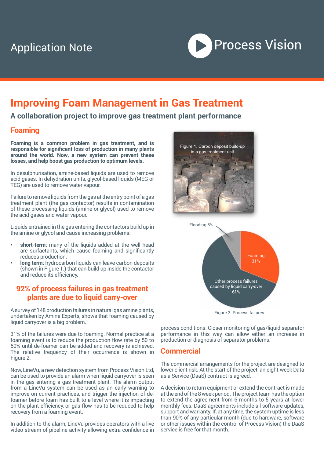## Application Note



## **Improving Foam Management in Gas Treatment**

**A collaboration project to improve gas treatment plant performance**

#### **Foaming**

**Foaming is a common problem in gas treatment, and is responsible for significant loss of production in many plants around the world. Now, a new system can prevent these losses, and help boost gas production to optimum levels.** 

In desulphurisation, amine-based liquids are used to remove acid gases. In dehydration units, glycol-based liquids (MEG or TEG) are used to remove water vapour.

Failure to remove liquids from the gas at the entry point of a gas treatment plant (the gas contactor) results in contamination of these processing liquids (amine or glycol) used to remove the acid gases and water vapour.

Liquids entrained in the gas entering the contactors build up in the amine or glycol and cause increasing problems:

- **• short-term:** many of the liquids added at the well head are surfactants, which cause foaming and significantly reduces production.
- **• long term:** hydrocarbon liquids can leave carbon deposits (shown in Figure 1.) that can build up inside the contactor and reduce its efficiency.

#### **92% of process failures in gas treatment plants are due to liquid carry-over**

A survey of 148 production failures in natural gas amine plants, undertaken by Amine Experts, shows that foaming caused by liquid carryover is a big problem.

31% of the failures were due to foaming. Normal practice at a foaming event is to reduce the production flow rate by 50 to 60% until de-foamer can be added and recovery is achieved. The relative frequency of their occurrence is shown in Figure 2.

Now, LineVu, a new detection system from Process Vision Ltd, can be used to provide an alarm when liquid carryover is seen in the gas entering a gas treatment plant. The alarm output from a LineVu system can be used as an early warning to improve on current practices, and trigger the injection of defoamer before foam has built to a level where it is impacting on the plant efficiency, or gas flow has to be reduced to help recovery from a foaming event.

In addition to the alarm, LineVu provides operators with a live video stream of pipeline activity allowing extra confidence in





Figure 2. Process failures

process conditions. Closer monitoring of gas/liquid separator performance in this way can allow either an increase in production or diagnosis of separator problems.

#### **Commercial**

The commercial arrangements for the project are designed to lower client risk. At the start of the project, an eight-week Data as a Service (DaaS) contract is agreed.

A decision to return equipment or extend the contract is made at the end of the 8 week period. The project team has the option to extend the agreement from 6 months to 5 years at lower monthly fees. DaaS agreements include all software updates, support and warranty. If, at any time, the system uptime is less than 90% of any particular month (due to hardware, software or other issues within the control of Process Vision) the DaaS service is free for that month.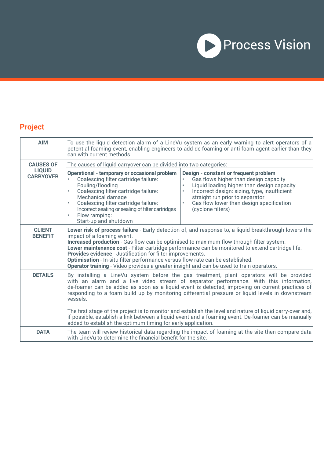

## **Project**

| <b>AIM</b>                        | To use the liquid detection alarm of a LineVu system as an early warning to alert operators of a<br>potential foaming event, enabling engineers to add de-foaming or anti-foam agent earlier than they<br>can with current methods.                                                                                                                                                                                                                                                                                                                                                                                   |  |  |  |  |  |  |  |  |  |  |
|-----------------------------------|-----------------------------------------------------------------------------------------------------------------------------------------------------------------------------------------------------------------------------------------------------------------------------------------------------------------------------------------------------------------------------------------------------------------------------------------------------------------------------------------------------------------------------------------------------------------------------------------------------------------------|--|--|--|--|--|--|--|--|--|--|
| <b>CAUSES OF</b>                  | The causes of liquid carryover can be divided into two categories:                                                                                                                                                                                                                                                                                                                                                                                                                                                                                                                                                    |  |  |  |  |  |  |  |  |  |  |
| <b>LIQUID</b><br><b>CARRYOVER</b> | <b>Operational - temporary or occasional problem</b><br>Design - constant or frequent problem<br>Gas flows higher than design capacity<br>Coalescing filter cartridge failure:<br>Liquid loading higher than design capacity<br>Fouling/flooding<br>$\bullet$<br>Incorrect design: sizing, type, insufficient<br>Coalescing filter cartridge failure:<br>Mechanical damage<br>straight run prior to separator<br>Coalescing filter cartridge failure:<br>Gas flow lower than design specification<br>Incorrect seating or sealing of filter cartridges<br>(cyclone filters)<br>Flow ramping:<br>Start-up and shutdown |  |  |  |  |  |  |  |  |  |  |
| <b>CLIENT</b><br><b>BENEFIT</b>   | Lower risk of process failure - Early detection of, and response to, a liquid breakthrough lowers the<br>impact of a foaming event.<br>Increased production - Gas flow can be optimised to maximum flow through filter system.<br>Lower maintenance cost - Filter cartridge performance can be monitored to extend cartridge life.<br>Provides evidence - Justification for filter improvements.<br>Optimisation - In-situ filter performance versus flow rate can be established.<br>Operator training - Video provides a greater insight and can be used to train operators.                                        |  |  |  |  |  |  |  |  |  |  |
| <b>DETAILS</b>                    | By installing a LineVu system before the gas treatment, plant operators will be provided<br>with an alarm and a live video stream of separator performance. With this information,<br>de-foamer can be added as soon as a liquid event is detected, improving on current practices of<br>responding to a foam build up by monitoring differential pressure or liquid levels in downstream<br>vessels.<br>The first stage of the project is to monitor and establish the level and nature of liquid carry-over and,                                                                                                    |  |  |  |  |  |  |  |  |  |  |
|                                   | if possible, establish a link between a liquid event and a foaming event. De-foamer can be manually<br>added to establish the optimum timing for early application.                                                                                                                                                                                                                                                                                                                                                                                                                                                   |  |  |  |  |  |  |  |  |  |  |
| <b>DATA</b>                       | The team will review historical data regarding the impact of foaming at the site then compare data<br>with LineVu to determine the financial benefit for the site.                                                                                                                                                                                                                                                                                                                                                                                                                                                    |  |  |  |  |  |  |  |  |  |  |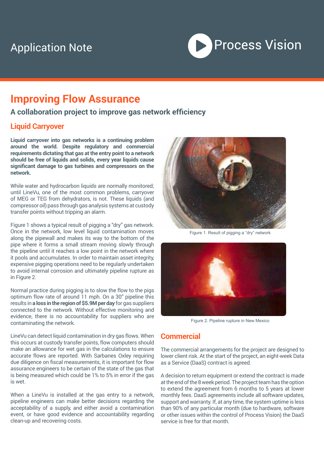## Application Note



## **Improving Flow Assurance**

### **A collaboration project to improve gas network efficiency**

#### **Liquid Carryover**

**Liquid carryover into gas networks is a continuing problem around the world. Despite regulatory and commercial requirements dictating that gas at the entry point to a network should be free of liquids and solids, every year liquids cause significant damage to gas turbines and compressors on the network.** 

While water and hydrocarbon liquids are normally monitored; until LineVu, one of the most common problems, carryover of MEG or TEG from dehydrators, is not. These liquids (and compressor oil) pass through gas analysis systems at custody transfer points without tripping an alarm.

Figure 1 shows a typical result of pigging a "dry" gas network. Once in the network, low level liquid contamination moves along the pipewall and makes its way to the bottom of the pipe where it forms a small stream moving slowly through the pipeline until it reaches a low point in the network where it pools and accumulates. In order to maintain asset integrity, expensive pigging operations need to be regularly undertaken to avoid internal corrosion and ultimately pipeline rupture as in Figure 2.

Normal practice during pigging is to slow the flow to the pigs optimum flow rate of around 11 mph. On a 30" pipeline this results in **a loss in the region of \$5.9M per day** for gas suppliers connected to the network. Without effective monitoring and evidence, there is no accountability for suppliers who are contaminating the network.

LineVu can detect liquid contamination in dry gas flows. When this occurs at custody transfer points, flow computers should make an allowance for wet gas in the calculations to ensure accurate flows are reported. With Sarbanes Oxley requiring due diligence on fiscal measurements, it is important for flow assurance engineers to be certain of the state of the gas that is being measured which could be 1% to 5% in error if the gas is wet.

When a LineVu is installed at the gas entry to a network, pipeline engineers can make better decisions regarding the acceptability of a supply, and either avoid a contamination event, or have good evidence and accountability regarding clean-up and recovering costs.



Figure 1. Result of pigging a "dry" network



Figure 2. Pipeline rupture in New Mexico

#### **Commercial**

The commercial arrangements for the project are designed to lower client risk. At the start of the project, an eight-week Data as a Service (DaaS) contract is agreed.

A decision to return equipment or extend the contract is made at the end of the 8 week period. The project team has the option to extend the agreement from 6 months to 5 years at lower monthly fees. DaaS agreements include all software updates, support and warranty. If, at any time, the system uptime is less than 90% of any particular month (due to hardware, software or other issues within the control of Process Vision) the DaaS service is free for that month.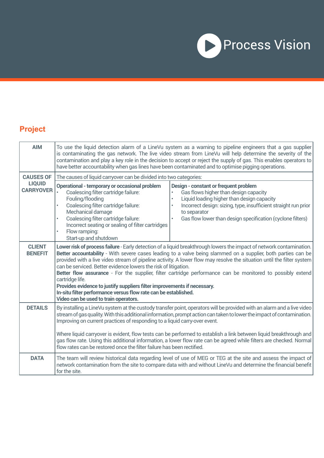

## **Project**

| <b>AIM</b>                        | To use the liquid detection alarm of a LineVu system as a warning to pipeline engineers that a gas supplier<br>is contaminating the gas network. The live video stream from LineVu will help determine the severity of the<br>contamination and play a key role in the decision to accept or reject the supply of gas. This enables operators to<br>have better accountability when gas lines have been contaminated and to optimise pigging operations.                                                                                                                                                                                                                                                                                                    |                                                                                                                                                                                                                                           |  |  |  |  |  |  |  |  |  |
|-----------------------------------|-------------------------------------------------------------------------------------------------------------------------------------------------------------------------------------------------------------------------------------------------------------------------------------------------------------------------------------------------------------------------------------------------------------------------------------------------------------------------------------------------------------------------------------------------------------------------------------------------------------------------------------------------------------------------------------------------------------------------------------------------------------|-------------------------------------------------------------------------------------------------------------------------------------------------------------------------------------------------------------------------------------------|--|--|--|--|--|--|--|--|--|
| <b>CAUSES OF</b>                  | The causes of liquid carryover can be divided into two categories:                                                                                                                                                                                                                                                                                                                                                                                                                                                                                                                                                                                                                                                                                          |                                                                                                                                                                                                                                           |  |  |  |  |  |  |  |  |  |
| <b>LIQUID</b><br><b>CARRYOVER</b> | Operational - temporary or occasional problem<br>Design - constant or frequent problem<br>Coalescing filter cartridge failure:<br>Gas flows higher than design capacity<br>Fouling/flooding<br>Liquid loading higher than design capacity<br>Coalescing filter cartridge failure:<br>Incorrect design: sizing, type, insufficient straight run prior<br>Mechanical damage<br>to separator<br>Coalescing filter cartridge failure:<br>Gas flow lower than design specification (cyclone filters)<br>$\bullet$<br>Incorrect seating or sealing of filter cartridges<br>Flow ramping:<br>Start-up and shutdown                                                                                                                                                 |                                                                                                                                                                                                                                           |  |  |  |  |  |  |  |  |  |
| <b>CLIENT</b><br><b>BENEFIT</b>   | Lower risk of process failure - Early detection of a liquid breakthrough lowers the impact of network contamination.<br>Better accountability - With severe cases leading to a valve being slammed on a supplier, both parties can be<br>provided with a live video stream of pipeline activity. A lower flow may resolve the situation until the filter system<br>can be serviced. Better evidence lowers the risk of litigation.<br>Better flow assurance - For the supplier, filter cartridge performance can be monitored to possibly extend<br>cartridge life.<br>Provides evidence to justify suppliers filter improvements if necessary.<br>In-situ filter performance versus flow rate can be established.<br>Video can be used to train operators. |                                                                                                                                                                                                                                           |  |  |  |  |  |  |  |  |  |
| <b>DETAILS</b>                    | By installing a LineVu system at the custody transfer point, operators will be provided with an alarm and a live video<br>stream of gas quality. With this additional information, prompt action can taken to lower the impact of contamination.<br>Improving on current practices of responding to a liquid carry-over event.                                                                                                                                                                                                                                                                                                                                                                                                                              |                                                                                                                                                                                                                                           |  |  |  |  |  |  |  |  |  |
|                                   | flow rates can be restored once the filter failure has been rectified.                                                                                                                                                                                                                                                                                                                                                                                                                                                                                                                                                                                                                                                                                      | Where liquid carryover is evident, flow tests can be performed to establish a link between liquid breakthrough and<br>gas flow rate. Using this additional information, a lower flow rate can be agreed while filters are checked. Normal |  |  |  |  |  |  |  |  |  |
| <b>DATA</b>                       | for the site.                                                                                                                                                                                                                                                                                                                                                                                                                                                                                                                                                                                                                                                                                                                                               | The team will review historical data regarding level of use of MEG or TEG at the site and assess the impact of<br>network contamination from the site to compare data with and without LineVu and determine the financial benefit         |  |  |  |  |  |  |  |  |  |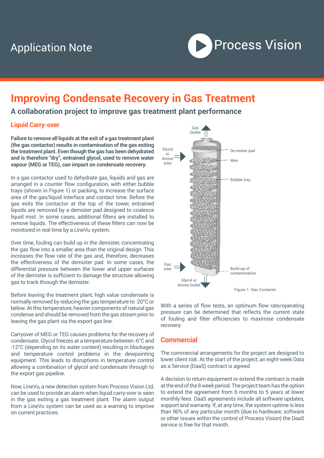

## **Improving Condensate Recovery in Gas Treatment**

## **A collaboration project to improve gas treatment plant performance**

#### **Liquid Carry-over**

**Failure to remove all liquids at the exit of a gas treatment plant (the gas contactor) results in contamination of the gas exiting the treatment plant. Even though the gas has been dehydrated and is therefore "dry", entrained glycol, used to remove water vapour (MEG or TEG), can impact on condensate recovery.** 

In a gas contactor used to dehydrate gas, liquids and gas are arranged in a counter flow configuration, with either bubble trays (shown in Figure 1) or packing, to increase the surface area of the gas/liquid interface and contact time. Before the gas exits the contactor at the top of the tower, entrained liquids are removed by a demister pad designed to coalesce liquid mist. In some cases, additional filters are installed to remove liquids. The effectiveness of these filters can now be monitored in real time by a LineVu system.

Over time, fouling can build up in the demister, concentrating the gas flow into a smaller area than the original design. This increases the flow rate of the gas and, therefore, decreases the effectiveness of the demister pad. In some cases, the differential pressure between the lower and upper surfaces of the demister is sufficient to damage the structure allowing gas to track through the demister.

Before leaving the treatment plant, high value condensate is normally removed by reducing the gas temperature to -20°C or below. At this temperature, heavier components of natural gas condense and should be removed from the gas stream prior to leaving the gas plant via the export gas line.

Carryover of MEG or TEG causes problems for the recovery of condensate. Glycol freezes at a temperature between -6°C and -12°C (depending on its water content) resulting in blockages and temperature control problems in the dewpointing equipment. This leads to disruptions in temperature control allowing a combination of glycol and condensate through to the export gas pipeline.

Now, LineVu, a new detection system from Process Vision Ltd, can be used to provide an alarm when liquid carry-over is seen in the gas exiting a gas treatment plant. The alarm output from a LineVu system can be used as a warning to improve on current practices.



With a series of flow tests, an optimum flow rate/operating pressure can be determined that reflects the current state of fouling and filter efficiencies to maximise condensate recovery.

#### **Commercial**

The commercial arrangements for the project are designed to lower client risk. At the start of the project, an eight-week Data as a Service (DaaS) contract is agreed.

A decision to return equipment or extend the contract is made at the end of the 8 week period. The project team has the option to extend the agreement from 6 months to 5 years at lower monthly fees. DaaS agreements include all software updates, support and warranty. If, at any time, the system uptime is less than 90% of any particular month (due to hardware, software or other issues within the control of Process Vision) the DaaS service is free for that month.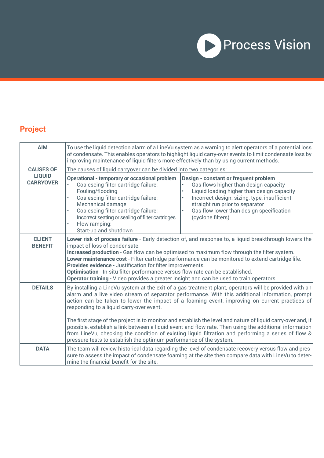

## **Project**

| <b>AIM</b>                        | To use the liquid detection alarm of a LineVu system as a warning to alert operators of a potential loss<br>of condensate. This enables operators to highlight liquid carry-over events to limit condensate loss by<br>improving maintenance of liquid filters more effectively than by using current methods.                                                                                                                                                                                                                                                                        |                                                                                                                                                                                                                                                                                                            |  |  |  |  |  |  |  |  |  |  |
|-----------------------------------|---------------------------------------------------------------------------------------------------------------------------------------------------------------------------------------------------------------------------------------------------------------------------------------------------------------------------------------------------------------------------------------------------------------------------------------------------------------------------------------------------------------------------------------------------------------------------------------|------------------------------------------------------------------------------------------------------------------------------------------------------------------------------------------------------------------------------------------------------------------------------------------------------------|--|--|--|--|--|--|--|--|--|--|
| <b>CAUSES OF</b><br><b>LIQUID</b> | The causes of liquid carryover can be divided into two categories:                                                                                                                                                                                                                                                                                                                                                                                                                                                                                                                    |                                                                                                                                                                                                                                                                                                            |  |  |  |  |  |  |  |  |  |  |
| <b>CARRYOVER</b>                  | <b>Operational - temporary or occasional problem</b><br>Coalescing filter cartridge failure:<br>Fouling/flooding<br>Coalescing filter cartridge failure:<br>Mechanical damage<br>Coalescing filter cartridge failure:<br>Incorrect seating or sealing of filter cartridges<br>Flow ramping:<br>Start-up and shutdown                                                                                                                                                                                                                                                                  | Design - constant or frequent problem<br>Gas flows higher than design capacity<br>Liquid loading higher than design capacity<br>$\bullet$<br>Incorrect design: sizing, type, insufficient<br>$\bullet$<br>straight run prior to separator<br>Gas flow lower than design specification<br>(cyclone filters) |  |  |  |  |  |  |  |  |  |  |
| <b>CLIENT</b><br><b>BENEFIT</b>   | Lower risk of process failure - Early detection of, and response to, a liquid breakthrough lowers the<br>impact of loss of condensate.<br>Increased production - Gas flow can be optimised to maximum flow through the filter system.<br>Lower maintenance cost - Filter cartridge performance can be monitored to extend cartridge life.<br>Provides evidence - Justification for filter improvements.<br>Optimisation - In-situ filter performance versus flow rate can be established.<br>Operator training - Video provides a greater insight and can be used to train operators. |                                                                                                                                                                                                                                                                                                            |  |  |  |  |  |  |  |  |  |  |
| <b>DETAILS</b>                    | By installing a LineVu system at the exit of a gas treatment plant, operators will be provided with an<br>alarm and a live video stream of separator performance. With this additional information, prompt<br>action can be taken to lower the impact of a foaming event, improving on current practices of<br>responding to a liquid carry-over event.                                                                                                                                                                                                                               |                                                                                                                                                                                                                                                                                                            |  |  |  |  |  |  |  |  |  |  |
|                                   | The first stage of the project is to monitor and establish the level and nature of liquid carry-over and, if<br>possible, establish a link between a liquid event and flow rate. Then using the additional information<br>from LineVu, checking the condition of existing liquid filtration and performing a series of flow &<br>pressure tests to establish the optimum performance of the system.                                                                                                                                                                                   |                                                                                                                                                                                                                                                                                                            |  |  |  |  |  |  |  |  |  |  |
| <b>DATA</b>                       | mine the financial benefit for the site.                                                                                                                                                                                                                                                                                                                                                                                                                                                                                                                                              | The team will review historical data regarding the level of condensate recovery versus flow and pres-<br>sure to assess the impact of condensate foaming at the site then compare data with LineVu to deter-                                                                                               |  |  |  |  |  |  |  |  |  |  |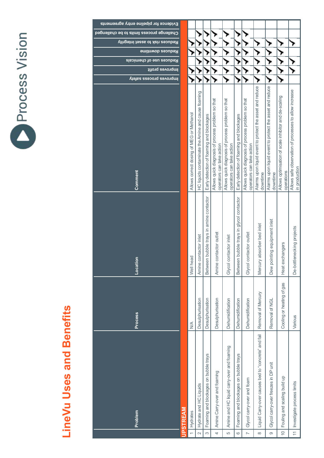| 5              |
|----------------|
| cess<br>ζ<br>Ċ |
|                |

# **LineVu Uses and Benefits LineVu Uses and Benefits**

| Evidence for pipeline entry agreements    |                 |                                          |                                                    |                                          |                                                                                |                                                                                |                                          |                                                                                |                                                                      |                                                                      |                                                                     |                                                                         |
|-------------------------------------------|-----------------|------------------------------------------|----------------------------------------------------|------------------------------------------|--------------------------------------------------------------------------------|--------------------------------------------------------------------------------|------------------------------------------|--------------------------------------------------------------------------------|----------------------------------------------------------------------|----------------------------------------------------------------------|---------------------------------------------------------------------|-------------------------------------------------------------------------|
| Challenge process limits to be challenged |                 |                                          |                                                    |                                          |                                                                                |                                                                                |                                          |                                                                                |                                                                      |                                                                      |                                                                     |                                                                         |
| Reduces risk to asset integrity           |                 |                                          |                                                    |                                          |                                                                                |                                                                                |                                          |                                                                                |                                                                      |                                                                      |                                                                     |                                                                         |
| <b>Reduces downtime</b>                   |                 |                                          |                                                    |                                          |                                                                                |                                                                                |                                          |                                                                                |                                                                      |                                                                      |                                                                     |                                                                         |
| Reduces use of chemicals                  |                 |                                          |                                                    |                                          |                                                                                |                                                                                |                                          |                                                                                |                                                                      |                                                                      |                                                                     |                                                                         |
| litory as profit                          |                 |                                          |                                                    |                                          |                                                                                |                                                                                |                                          |                                                                                |                                                                      |                                                                      |                                                                     |                                                                         |
| Improves process safety                   |                 |                                          |                                                    |                                          |                                                                                |                                                                                |                                          |                                                                                |                                                                      |                                                                      |                                                                     |                                                                         |
| Comment                                   |                 | Allows correct dosing of MEG or Methanol | HC liquids contaminate the Amine and cause foaming | Early detection of foaming and blockages | Allows quick diagnosis of process problem so that<br>operators can take action | Allows quick diagnosis of process problem so that<br>operators can take action | Early detection of foaming and blockages | Allows quick diagnosis of process problem so that<br>operators can take action | Alarms upon liquid event to protect the asset and reduce<br>downtime | Alarms upon liquid event to protect the asset and reduce<br>downtime | Allows optimisation of scale inhibitor and de-scaling<br>operations | Allows safe observation of processes to allow increase<br>in production |
| tion<br>Loca                              |                 | head<br>Well                             | Amine contactor inlet                              | Between bubble trays in amine contactor  | Amine contactor outlet                                                         | Glycol contactor inlet                                                         | Between bubble trays in glycol contactor | Glycol contactor outlet                                                        | Mercury absorber bed inlet                                           | pointing equipment inlet<br>Dew                                      | exchangers<br>Heat                                                  | De-bottlenecking projects                                               |
| <b>Process</b>                            |                 | $\leq$                                   | Desulphurisation                                   | Desulphurisation                         | Desulphurisation                                                               | Dehumidification                                                               | Dehumidification                         | Dehumidification                                                               | Removal of Mercury                                                   | Removal of NGL                                                       | Cooling or heating of gas                                           | Various                                                                 |
| Problem                                   | <b>JPSTREAM</b> | Hydrates                                 | Hydrate and HC Liquids                             | Foaming and blockages on bubble trays    | Amine Carry-over and foaming                                                   | Amine and HC liquid carry-over and foaming                                     | Foaming and blockages on bubble trays    | Glycol carry-over and foam                                                     | Liquid Carry-over causes bed to "concrete" and fail                  | Glycol carry-over freezes in DP unit                                 | Fouling and scaling build up                                        | Investigate process limits                                              |
|                                           |                 | $\overline{\phantom{0}}$                 | $\sim$                                             | S                                        | $\overline{a}$                                                                 | LO                                                                             | $\circ$                                  | $\overline{a}$                                                                 | $\infty$                                                             | $\circ$                                                              | $\frac{1}{2}$                                                       | $\overline{=}$                                                          |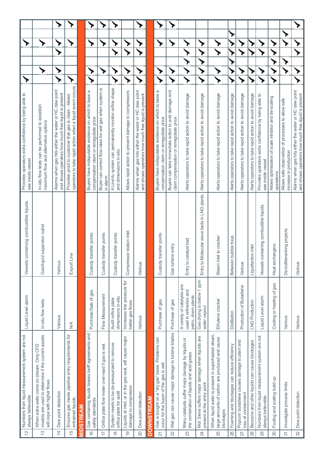| Provides operators extra confidence by being able to<br>see inside vessel             | In-situ flow tests can be performed to establish<br>maximum flow and alternative options                                                                | Alarms when gas hits either the water or HC dew point<br>and shows operators how much free liquid is present | operators to take rapid action when a liquid event occurs<br>Provides proof to customer that gas is clean - Allows |                  | Buyers have indisputable evidence on which to base a<br>compensation claim or renegotiate price | Buyer can correct flow rates for wet gas when system is<br>in alarm          | A LineVu system can permanently monitor orifice shape<br>and dimensions in-situ         | Allows rapid action to prevent damage to compressors                                             | Alarms when gas hits either the water or HC dew point<br>and shows operators how much free liquid is present |                   | Buyers have indisputable evidence on which to base a<br>compensation claim or renegotiate price | Buyers can take immediate action to avid damage and<br>claim compensation or renegotiate price | Alerts operators to take rapid action to avoid damage                                               | Alerts operators to take rapid action to avoid damage                                             | Alerts operators to take rapid action to avoid damage                                                                   | Alerts operators to take rapid action to avoid damage | Alerts operators to take rapid action to avoid damage                     | Alerts operators to take rapid action to avoid damage | Provides operators extra confidence by being able to<br>see inside vessel | Allows optimisation of scale inhibitor and de-scaling<br>operations | Allows safe observation of processes to allow safe<br>increase in production | Alarms when gas hits either the water or HC dew point<br>and shows operators how much free liquid is present |
|---------------------------------------------------------------------------------------|---------------------------------------------------------------------------------------------------------------------------------------------------------|--------------------------------------------------------------------------------------------------------------|--------------------------------------------------------------------------------------------------------------------|------------------|-------------------------------------------------------------------------------------------------|------------------------------------------------------------------------------|-----------------------------------------------------------------------------------------|--------------------------------------------------------------------------------------------------|--------------------------------------------------------------------------------------------------------------|-------------------|-------------------------------------------------------------------------------------------------|------------------------------------------------------------------------------------------------|-----------------------------------------------------------------------------------------------------|---------------------------------------------------------------------------------------------------|-------------------------------------------------------------------------------------------------------------------------|-------------------------------------------------------|---------------------------------------------------------------------------|-------------------------------------------------------|---------------------------------------------------------------------------|---------------------------------------------------------------------|------------------------------------------------------------------------------|--------------------------------------------------------------------------------------------------------------|
| Vessels containing combustible liquids                                                | Gas/liquid separator outlet                                                                                                                             | Various                                                                                                      | Export Line                                                                                                        |                  | Custody transfer points                                                                         | Custody transfer points                                                      | Custody transfer points                                                                 | Compressor station inlet                                                                         | $\overline{\omega}$<br>Variou                                                                                |                   | Custody transfer points                                                                         | Gas turbine entry                                                                              | to catalyst bed<br>Entry                                                                            | to Molecular sieve beds in LNG plants<br>Entry                                                    | Steam inlet to cracker                                                                                                  | Between bubble trays                                  | Various                                                                   | Liquefaction inlet                                    | Is containing combustible liquids<br>Vessel                               | Heat exchangers                                                     | De-bottlenecking projects                                                    | Variou                                                                                                       |
| Liquid Level alam                                                                     | In-situ flow tests                                                                                                                                      | Various                                                                                                      | $\frac{1}{2}$                                                                                                      |                  | Purchase/Sale of gas                                                                            | Flow Measurement                                                             | dimensions in-situ<br>Audit orifice plate                                               | Increases line pressure for<br>better gas flows                                                  | Various                                                                                                      |                   | Purchase of gas                                                                                 | Purchase of gas                                                                                | A variety of catalysts are<br>used in refineries and<br>petro. chem plants                          | Gas drying to below 1 ppm<br>water vapour                                                         | Ethylene cracker                                                                                                        | Distillation                                          | Production of Butadiene                                                   | LNG Production                                        | Liquid Level alarm                                                        | gas<br>Cooling or heating of                                        | Various                                                                      | Various                                                                                                      |
| Numbers from liquid measurement system are not<br>always believable<br>$\overline{C}$ | models are used to determine if the current assets<br>When extra wells come on stream. Only CFD<br>will cope with higher flows<br>$\tilde{\mathcal{C}}$ | Dew point detection<br>$\overline{4}$                                                                        | Ensures gas meets pipeline entry requirements for<br>entrained liquids<br>$\frac{5}{1}$                            | <b>AIDSTREAM</b> | Gas containing liquids breaks tariff agreements and<br>safety standards<br>$\frac{6}{5}$        | Orifice plate flow meter over-read if gas is wet<br>$\overline{\overline{}}$ | System needs to be de-pressurized to remove<br>orifice plate for audit<br>$\frac{8}{1}$ | Liquids at inlet, or in the gas seal, will cause major<br>damage to compressor<br>$\overline{6}$ | Dew point detection<br>20                                                                                    | <b>DOWNSTREAM</b> | Gas is bought on a "dry gas" basis. Problems can<br>occur for the buyer of the gas is wet<br>21 | Wet gas can cause major damage to turbine blades<br>$\mathbf{2}$                               | Many catalysts suffer major damage by liquids or<br>the combination of liquids and acid gases<br>23 | Mol. Sieve suffers major damage when liquids are<br>present at the entry point<br>$\overline{24}$ | When liquid water is present in superheated steam,<br>large amounts of carbon are produced and cause<br>blockages<br>25 | Foaming and blockages can reduce efficiency<br>26     | Popcorn butadiene causes damage to plant and<br>loss of containment<br>27 | Benzene and other liquids can cause blockages<br>28   | Numbers from liquid measurement system are not<br>always believable<br>29 | Fouling and scaling build up<br>$\infty$                            | Investigate process limits<br>$\overline{\mathcal{E}}$                       | Dew point detection<br>$\infty$                                                                              |